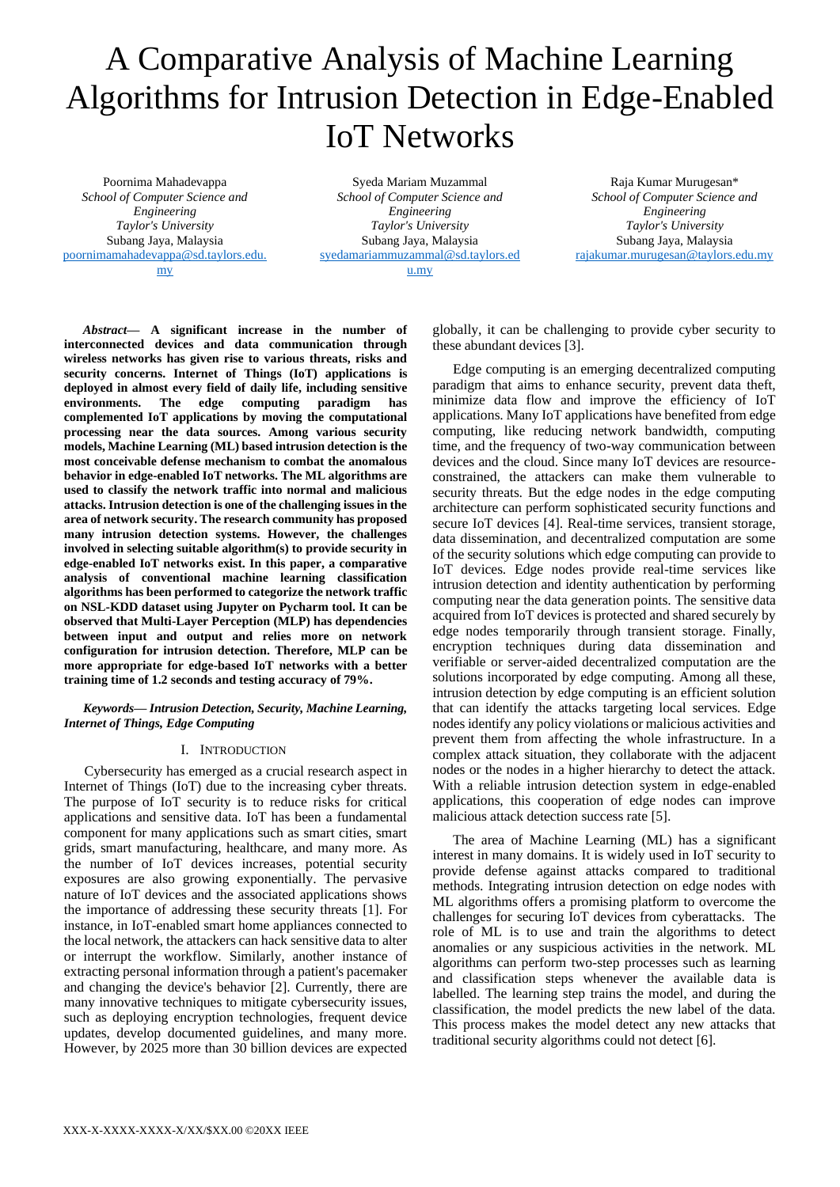# A Comparative Analysis of Machine Learning Algorithms for Intrusion Detection in Edge-Enabled IoT Networks

Poornima Mahadevappa *School of Computer Science and Engineering Taylor's University* Subang Jaya, Malaysia [poornimamahadevappa@sd.taylors.edu.](mailto:poornimamahadevappa@sd.taylors.edu.my) [my](mailto:poornimamahadevappa@sd.taylors.edu.my)

Syeda Mariam Muzammal *School of Computer Science and Engineering Taylor's University* Subang Jaya, Malaysia [syedamariammuzammal@sd.taylors.ed](mailto:syedamariammuzammal@sd.taylors.edu.my) [u.my](mailto:syedamariammuzammal@sd.taylors.edu.my)

Raja Kumar Murugesan\* *School of Computer Science and Engineering Taylor's University* Subang Jaya, Malaysia [rajakumar.murugesan@taylors.edu.my](mailto:rajakumar.murugesan@taylors.edu.my)

*Abstract***— A significant increase in the number of interconnected devices and data communication through wireless networks has given rise to various threats, risks and security concerns. Internet of Things (IoT) applications is deployed in almost every field of daily life, including sensitive environments. The edge computing paradigm has complemented IoT applications by moving the computational processing near the data sources. Among various security models, Machine Learning (ML) based intrusion detection is the most conceivable defense mechanism to combat the anomalous behavior in edge-enabled IoT networks. The ML algorithms are used to classify the network traffic into normal and malicious attacks. Intrusion detection is one of the challenging issues in the area of network security. The research community has proposed many intrusion detection systems. However, the challenges involved in selecting suitable algorithm(s) to provide security in edge-enabled IoT networks exist. In this paper, a comparative analysis of conventional machine learning classification algorithms has been performed to categorize the network traffic on NSL-KDD dataset using Jupyter on Pycharm tool. It can be observed that Multi-Layer Perception (MLP) has dependencies between input and output and relies more on network configuration for intrusion detection. Therefore, MLP can be more appropriate for edge-based IoT networks with a better training time of 1.2 seconds and testing accuracy of 79%.** 

*Keywords— Intrusion Detection, Security, Machine Learning, Internet of Things, Edge Computing*

## I. INTRODUCTION

Cybersecurity has emerged as a crucial research aspect in Internet of Things (IoT) due to the increasing cyber threats. The purpose of IoT security is to reduce risks for critical applications and sensitive data. IoT has been a fundamental component for many applications such as smart cities, smart grids, smart manufacturing, healthcare, and many more. As the number of IoT devices increases, potential security exposures are also growing exponentially. The pervasive nature of IoT devices and the associated applications shows the importance of addressing these security threats [1]. For instance, in IoT-enabled smart home appliances connected to the local network, the attackers can hack sensitive data to alter or interrupt the workflow. Similarly, another instance of extracting personal information through a patient's pacemaker and changing the device's behavior [2]. Currently, there are many innovative techniques to mitigate cybersecurity issues, such as deploying encryption technologies, frequent device updates, develop documented guidelines, and many more. However, by 2025 more than 30 billion devices are expected

globally, it can be challenging to provide cyber security to these abundant devices [3].

Edge computing is an emerging decentralized computing paradigm that aims to enhance security, prevent data theft, minimize data flow and improve the efficiency of IoT applications. Many IoT applications have benefited from edge computing, like reducing network bandwidth, computing time, and the frequency of two-way communication between devices and the cloud. Since many IoT devices are resourceconstrained, the attackers can make them vulnerable to security threats. But the edge nodes in the edge computing architecture can perform sophisticated security functions and secure IoT devices [4]. Real-time services, transient storage, data dissemination, and decentralized computation are some of the security solutions which edge computing can provide to IoT devices. Edge nodes provide real-time services like intrusion detection and identity authentication by performing computing near the data generation points. The sensitive data acquired from IoT devices is protected and shared securely by edge nodes temporarily through transient storage. Finally, encryption techniques during data dissemination and verifiable or server-aided decentralized computation are the solutions incorporated by edge computing. Among all these, intrusion detection by edge computing is an efficient solution that can identify the attacks targeting local services. Edge nodes identify any policy violations or malicious activities and prevent them from affecting the whole infrastructure. In a complex attack situation, they collaborate with the adjacent nodes or the nodes in a higher hierarchy to detect the attack. With a reliable intrusion detection system in edge-enabled applications, this cooperation of edge nodes can improve malicious attack detection success rate [5].

The area of Machine Learning (ML) has a significant interest in many domains. It is widely used in IoT security to provide defense against attacks compared to traditional methods. Integrating intrusion detection on edge nodes with ML algorithms offers a promising platform to overcome the challenges for securing IoT devices from cyberattacks. The role of ML is to use and train the algorithms to detect anomalies or any suspicious activities in the network. ML algorithms can perform two-step processes such as learning and classification steps whenever the available data is labelled. The learning step trains the model, and during the classification, the model predicts the new label of the data. This process makes the model detect any new attacks that traditional security algorithms could not detect [6].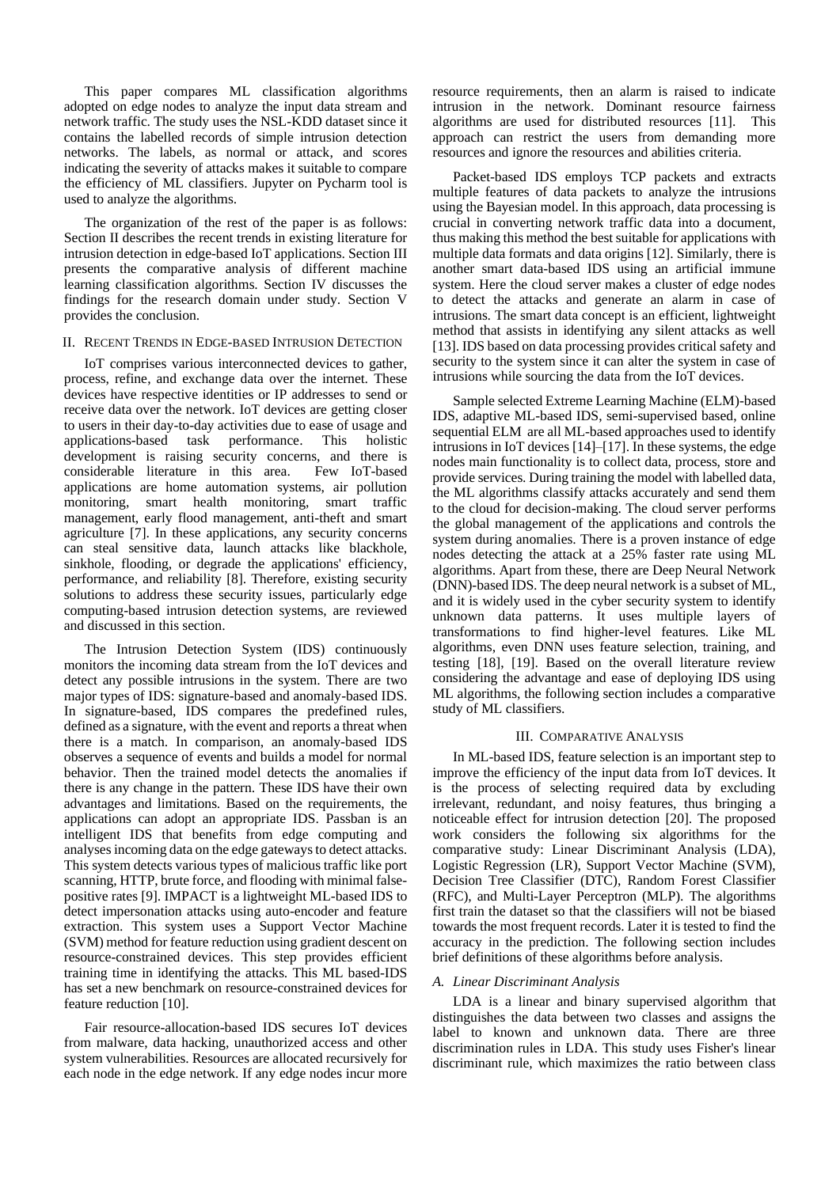This paper compares ML classification algorithms adopted on edge nodes to analyze the input data stream and network traffic. The study uses the NSL-KDD dataset since it contains the labelled records of simple intrusion detection networks. The labels, as normal or attack, and scores indicating the severity of attacks makes it suitable to compare the efficiency of ML classifiers. Jupyter on Pycharm tool is used to analyze the algorithms.

The organization of the rest of the paper is as follows: Section II describes the recent trends in existing literature for intrusion detection in edge-based IoT applications. Section III presents the comparative analysis of different machine learning classification algorithms. Section IV discusses the findings for the research domain under study. Section V provides the conclusion.

## II. RECENT TRENDS IN EDGE-BASED INTRUSION DETECTION

IoT comprises various interconnected devices to gather, process, refine, and exchange data over the internet. These devices have respective identities or IP addresses to send or receive data over the network. IoT devices are getting closer to users in their day-to-day activities due to ease of usage and applications-based task performance. This holistic development is raising security concerns, and there is considerable literature in this area. Few IoT-based applications are home automation systems, air pollution monitoring, smart health monitoring, smart traffic management, early flood management, anti-theft and smart agriculture [7]. In these applications, any security concerns can steal sensitive data, launch attacks like blackhole, sinkhole, flooding, or degrade the applications' efficiency, performance, and reliability [8]. Therefore, existing security solutions to address these security issues, particularly edge computing-based intrusion detection systems, are reviewed and discussed in this section.

The Intrusion Detection System (IDS) continuously monitors the incoming data stream from the IoT devices and detect any possible intrusions in the system. There are two major types of IDS: signature-based and anomaly-based IDS. In signature-based, IDS compares the predefined rules, defined as a signature, with the event and reports a threat when there is a match. In comparison, an anomaly-based IDS observes a sequence of events and builds a model for normal behavior. Then the trained model detects the anomalies if there is any change in the pattern. These IDS have their own advantages and limitations. Based on the requirements, the applications can adopt an appropriate IDS. Passban is an intelligent IDS that benefits from edge computing and analyses incoming data on the edge gateways to detect attacks. This system detects various types of malicious traffic like port scanning, HTTP, brute force, and flooding with minimal falsepositive rates [9]. IMPACT is a lightweight ML-based IDS to detect impersonation attacks using auto-encoder and feature extraction. This system uses a Support Vector Machine (SVM) method for feature reduction using gradient descent on resource-constrained devices. This step provides efficient training time in identifying the attacks. This ML based-IDS has set a new benchmark on resource-constrained devices for feature reduction [10].

Fair resource-allocation-based IDS secures IoT devices from malware, data hacking, unauthorized access and other system vulnerabilities. Resources are allocated recursively for each node in the edge network. If any edge nodes incur more resource requirements, then an alarm is raised to indicate intrusion in the network. Dominant resource fairness algorithms are used for distributed resources [11]. This approach can restrict the users from demanding more resources and ignore the resources and abilities criteria.

Packet-based IDS employs TCP packets and extracts multiple features of data packets to analyze the intrusions using the Bayesian model. In this approach, data processing is crucial in converting network traffic data into a document, thus making this method the best suitable for applications with multiple data formats and data origins [12]. Similarly, there is another smart data-based IDS using an artificial immune system. Here the cloud server makes a cluster of edge nodes to detect the attacks and generate an alarm in case of intrusions. The smart data concept is an efficient, lightweight method that assists in identifying any silent attacks as well [13]. IDS based on data processing provides critical safety and security to the system since it can alter the system in case of intrusions while sourcing the data from the IoT devices.

Sample selected Extreme Learning Machine (ELM)-based IDS, adaptive ML-based IDS, semi-supervised based, online sequential ELM are all ML-based approaches used to identify intrusions in IoT devices [14]–[17]. In these systems, the edge nodes main functionality is to collect data, process, store and provide services. During training the model with labelled data, the ML algorithms classify attacks accurately and send them to the cloud for decision-making. The cloud server performs the global management of the applications and controls the system during anomalies. There is a proven instance of edge nodes detecting the attack at a 25% faster rate using ML algorithms. Apart from these, there are Deep Neural Network (DNN)-based IDS. The deep neural network is a subset of ML, and it is widely used in the cyber security system to identify unknown data patterns. It uses multiple layers of transformations to find higher-level features. Like ML algorithms, even DNN uses feature selection, training, and testing [18], [19]. Based on the overall literature review considering the advantage and ease of deploying IDS using ML algorithms, the following section includes a comparative study of ML classifiers.

## III. COMPARATIVE ANALYSIS

In ML-based IDS, feature selection is an important step to improve the efficiency of the input data from IoT devices. It is the process of selecting required data by excluding irrelevant, redundant, and noisy features, thus bringing a noticeable effect for intrusion detection [20]. The proposed work considers the following six algorithms for the comparative study: Linear Discriminant Analysis (LDA), Logistic Regression (LR), Support Vector Machine (SVM), Decision Tree Classifier (DTC), Random Forest Classifier (RFC), and Multi-Layer Perceptron (MLP). The algorithms first train the dataset so that the classifiers will not be biased towards the most frequent records. Later it is tested to find the accuracy in the prediction. The following section includes brief definitions of these algorithms before analysis.

## *A. Linear Discriminant Analysis*

LDA is a linear and binary supervised algorithm that distinguishes the data between two classes and assigns the label to known and unknown data. There are three discrimination rules in LDA. This study uses Fisher's linear discriminant rule, which maximizes the ratio between class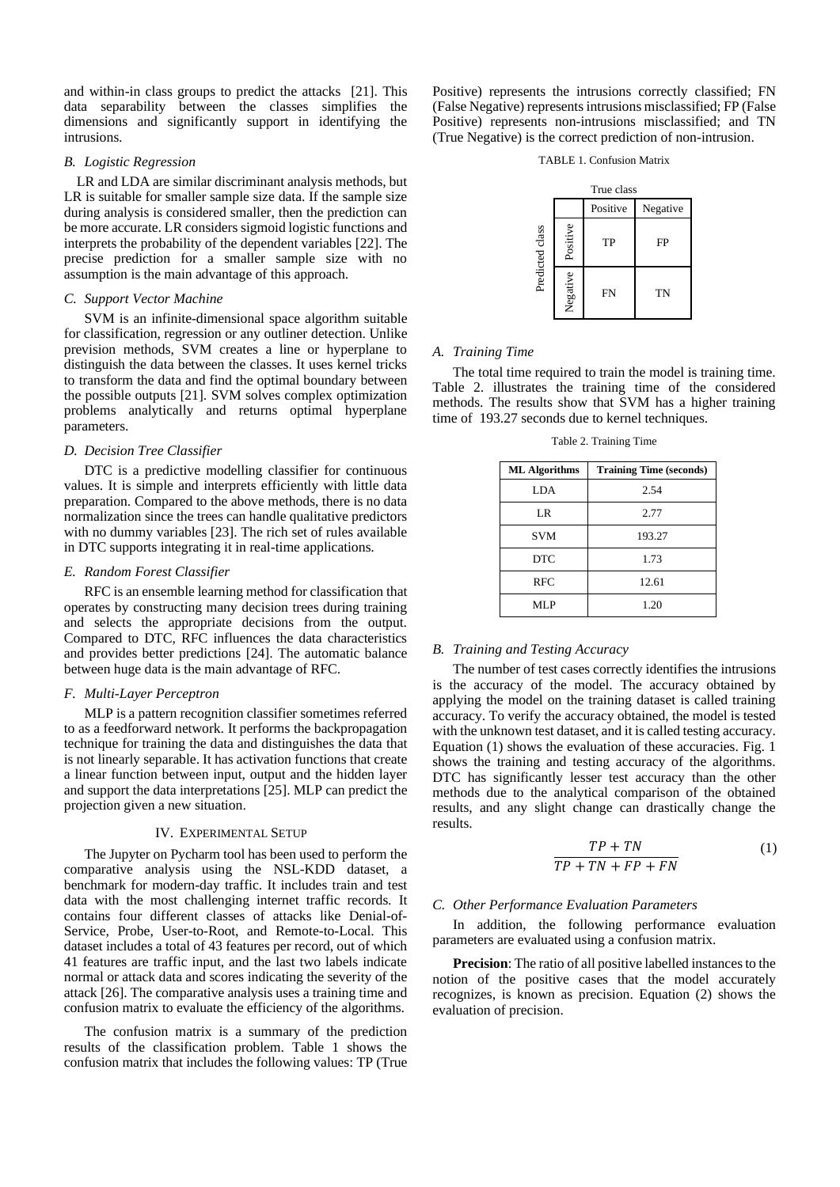and within-in class groups to predict the attacks [21]. This data separability between the classes simplifies the dimensions and significantly support in identifying the intrusions.

## *B. Logistic Regression*

LR and LDA are similar discriminant analysis methods, but LR is suitable for smaller sample size data. If the sample size during analysis is considered smaller, then the prediction can be more accurate. LR considers sigmoid logistic functions and interprets the probability of the dependent variables [22]. The precise prediction for a smaller sample size with no assumption is the main advantage of this approach.

## *C. Support Vector Machine*

SVM is an infinite-dimensional space algorithm suitable for classification, regression or any outliner detection. Unlike prevision methods, SVM creates a line or hyperplane to distinguish the data between the classes. It uses kernel tricks to transform the data and find the optimal boundary between the possible outputs [21]. SVM solves complex optimization problems analytically and returns optimal hyperplane parameters.

# *D. Decision Tree Classifier*

DTC is a predictive modelling classifier for continuous values. It is simple and interprets efficiently with little data preparation. Compared to the above methods, there is no data normalization since the trees can handle qualitative predictors with no dummy variables [23]. The rich set of rules available in DTC supports integrating it in real-time applications.

#### *E. Random Forest Classifier*

RFC is an ensemble learning method for classification that operates by constructing many decision trees during training and selects the appropriate decisions from the output. Compared to DTC, RFC influences the data characteristics and provides better predictions [24]. The automatic balance between huge data is the main advantage of RFC.

## *F. Multi-Layer Perceptron*

MLP is a pattern recognition classifier sometimes referred to as a feedforward network. It performs the backpropagation technique for training the data and distinguishes the data that is not linearly separable. It has activation functions that create a linear function between input, output and the hidden layer and support the data interpretations [25]. MLP can predict the projection given a new situation.

## IV. EXPERIMENTAL SETUP

The Jupyter on Pycharm tool has been used to perform the comparative analysis using the NSL-KDD dataset, a benchmark for modern-day traffic. It includes train and test data with the most challenging internet traffic records. It contains four different classes of attacks like Denial-of-Service, Probe, User-to-Root, and Remote-to-Local. This dataset includes a total of 43 features per record, out of which 41 features are traffic input, and the last two labels indicate normal or attack data and scores indicating the severity of the attack [26]. The comparative analysis uses a training time and confusion matrix to evaluate the efficiency of the algorithms.

The confusion matrix is a summary of the prediction results of the classification problem. Table 1 shows the confusion matrix that includes the following values: TP (True Positive) represents the intrusions correctly classified; FN (False Negative) represents intrusions misclassified; FP (False Positive) represents non-intrusions misclassified; and TN (True Negative) is the correct prediction of non-intrusion.

#### TABLE 1. Confusion Matrix

| True class      |          |           |           |
|-----------------|----------|-----------|-----------|
|                 |          | Positive  | Negative  |
| Predicted class | Positive | TP        | FP        |
|                 | Negative | <b>FN</b> | <b>TN</b> |

## *A. Training Time*

The total time required to train the model is training time. Table 2. illustrates the training time of the considered methods. The results show that SVM has a higher training time of 193.27 seconds due to kernel techniques.

Table 2. Training Time

| <b>Training Time (seconds)</b> |  |
|--------------------------------|--|
| 2.54                           |  |
| 2.77                           |  |
| 193.27                         |  |
| 1.73                           |  |
| 12.61                          |  |
| 1.20                           |  |
|                                |  |

## *B. Training and Testing Accuracy*

The number of test cases correctly identifies the intrusions is the accuracy of the model. The accuracy obtained by applying the model on the training dataset is called training accuracy. To verify the accuracy obtained, the model is tested with the unknown test dataset, and it is called testing accuracy. Equation (1) shows the evaluation of these accuracies. Fig. 1 shows the training and testing accuracy of the algorithms. DTC has significantly lesser test accuracy than the other methods due to the analytical comparison of the obtained results, and any slight change can drastically change the results.

$$
\frac{TP + TN}{TP + TN + FP + FN} \tag{1}
$$

## *C. Other Performance Evaluation Parameters*

In addition, the following performance evaluation parameters are evaluated using a confusion matrix.

**Precision**: The ratio of all positive labelled instances to the notion of the positive cases that the model accurately recognizes, is known as precision. Equation (2) shows the evaluation of precision.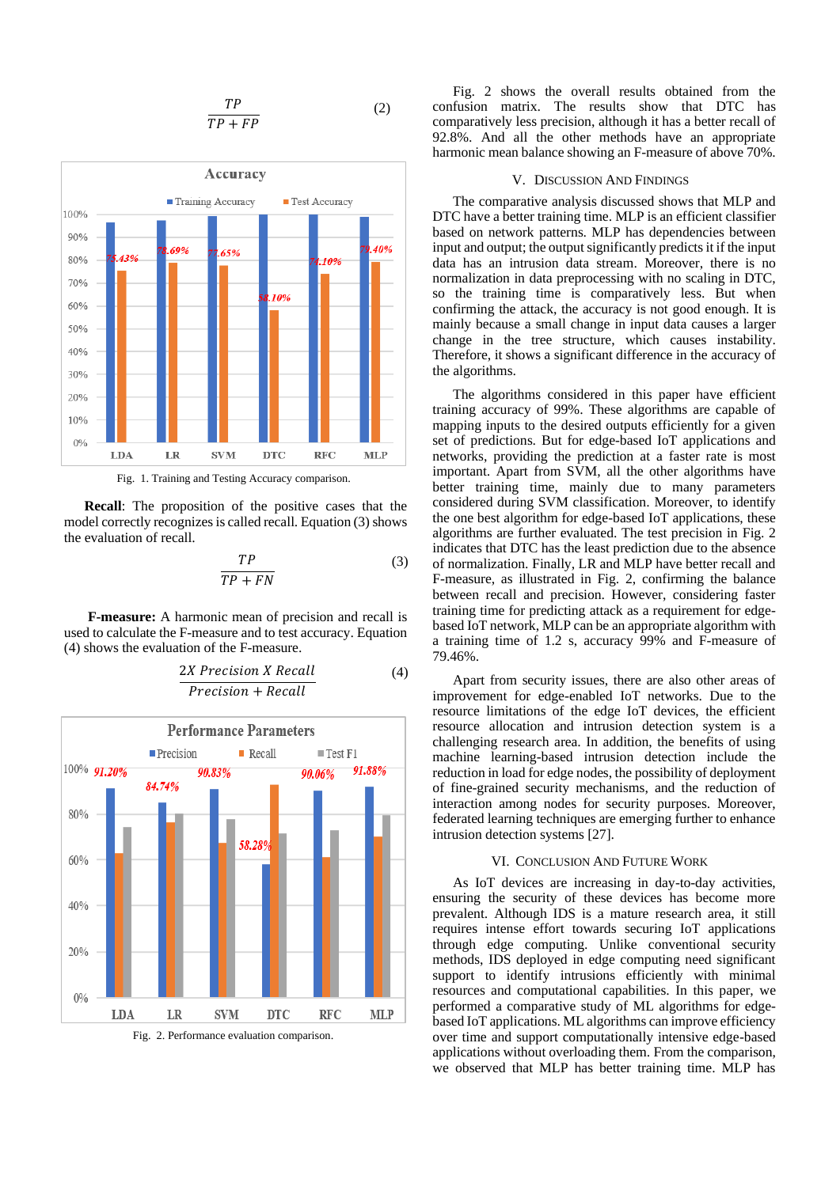$$
\frac{TP}{TP + FP}
$$
 (2)



Fig. 1. Training and Testing Accuracy comparison.

**Recall**: The proposition of the positive cases that the model correctly recognizes is called recall. Equation (3) shows the evaluation of recall.

$$
\frac{TP}{TP + FN} \tag{3}
$$

**F-measure:** A harmonic mean of precision and recall is used to calculate the F-measure and to test accuracy. Equation (4) shows the evaluation of the F-measure.



2X Precision X Recall  $Precision + Recall$ (4)

Fig. 2. Performance evaluation comparison.

Fig. 2 shows the overall results obtained from the confusion matrix. The results show that DTC has comparatively less precision, although it has a better recall of 92.8%. And all the other methods have an appropriate harmonic mean balance showing an F-measure of above 70%.

## V. DISCUSSION AND FINDINGS

The comparative analysis discussed shows that MLP and DTC have a better training time. MLP is an efficient classifier based on network patterns. MLP has dependencies between input and output; the output significantly predicts it if the input data has an intrusion data stream. Moreover, there is no normalization in data preprocessing with no scaling in DTC, so the training time is comparatively less. But when confirming the attack, the accuracy is not good enough. It is mainly because a small change in input data causes a larger change in the tree structure, which causes instability. Therefore, it shows a significant difference in the accuracy of the algorithms.

The algorithms considered in this paper have efficient training accuracy of 99%. These algorithms are capable of mapping inputs to the desired outputs efficiently for a given set of predictions. But for edge-based IoT applications and networks, providing the prediction at a faster rate is most important. Apart from SVM, all the other algorithms have better training time, mainly due to many parameters considered during SVM classification. Moreover, to identify the one best algorithm for edge-based IoT applications, these algorithms are further evaluated. The test precision in Fig. 2 indicates that DTC has the least prediction due to the absence of normalization. Finally, LR and MLP have better recall and F-measure, as illustrated in Fig. 2, confirming the balance between recall and precision. However, considering faster training time for predicting attack as a requirement for edgebased IoT network, MLP can be an appropriate algorithm with a training time of 1.2 s, accuracy 99% and F-measure of 79.46%.

Apart from security issues, there are also other areas of improvement for edge-enabled IoT networks. Due to the resource limitations of the edge IoT devices, the efficient resource allocation and intrusion detection system is a challenging research area. In addition, the benefits of using machine learning-based intrusion detection include the reduction in load for edge nodes, the possibility of deployment of fine-grained security mechanisms, and the reduction of interaction among nodes for security purposes. Moreover, federated learning techniques are emerging further to enhance intrusion detection systems [27].

## VI. CONCLUSION AND FUTURE WORK

As IoT devices are increasing in day-to-day activities, ensuring the security of these devices has become more prevalent. Although IDS is a mature research area, it still requires intense effort towards securing IoT applications through edge computing. Unlike conventional security methods, IDS deployed in edge computing need significant support to identify intrusions efficiently with minimal resources and computational capabilities. In this paper, we performed a comparative study of ML algorithms for edgebased IoT applications. ML algorithms can improve efficiency over time and support computationally intensive edge-based applications without overloading them. From the comparison, we observed that MLP has better training time. MLP has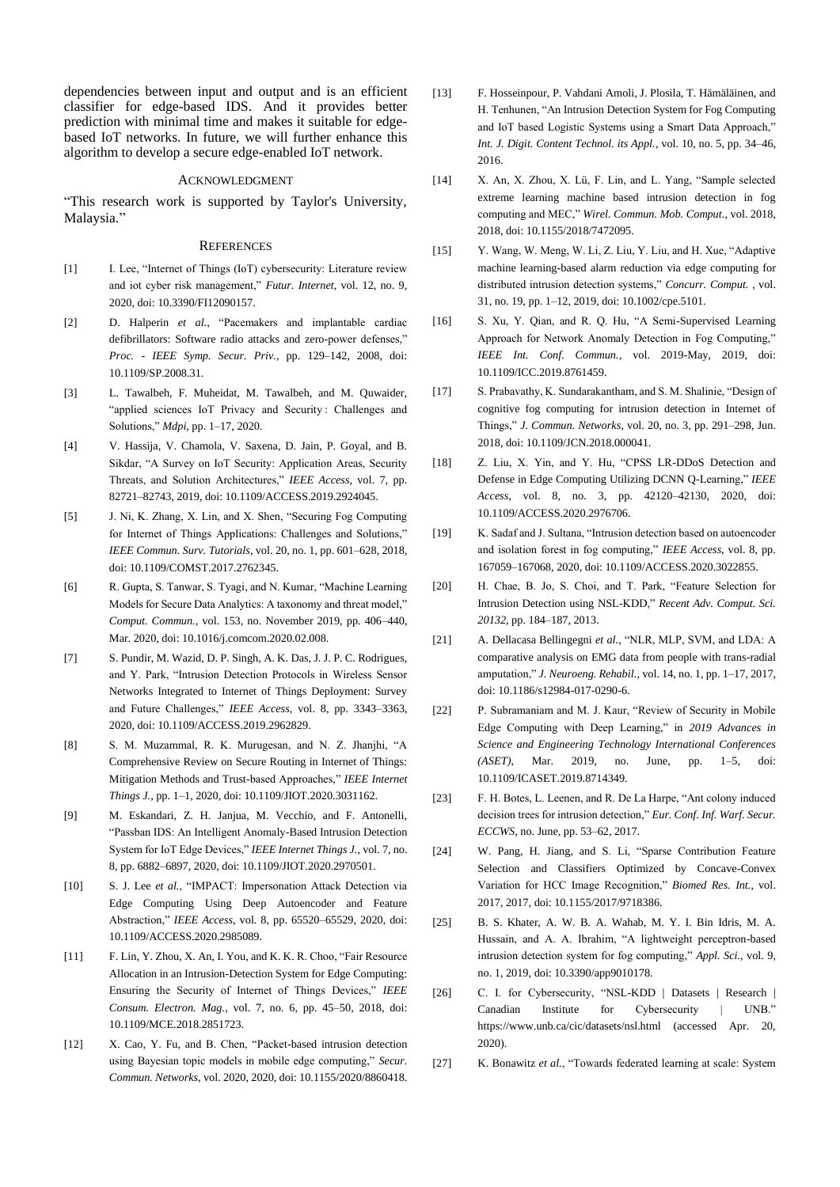dependencies between input and output and is an efficient classifier for edge-based IDS. And it provides better prediction with minimal time and makes it suitable for edgebased IoT networks. In future, we will further enhance this algorithm to develop a secure edge-enabled IoT network.

## ACKNOWLEDGMENT

"This research work is supported by Taylor's University, Malaysia."

#### **REFERENCES**

- [1] I. Lee, "Internet of Things (IoT) cybersecurity: Literature review and iot cyber risk management," *Futur. Internet*, vol. 12, no. 9, 2020, doi: 10.3390/FI12090157.
- [2] D. Halperin *et al.*, "Pacemakers and implantable cardiac defibrillators: Software radio attacks and zero-power defenses," *Proc. - IEEE Symp. Secur. Priv.*, pp. 129–142, 2008, doi: 10.1109/SP.2008.31.
- [3] L. Tawalbeh, F. Muheidat, M. Tawalbeh, and M. Quwaider, "applied sciences IoT Privacy and Security : Challenges and Solutions," *Mdpi*, pp. 1–17, 2020.
- [4] V. Hassija, V. Chamola, V. Saxena, D. Jain, P. Goyal, and B. Sikdar, "A Survey on IoT Security: Application Areas, Security Threats, and Solution Architectures," *IEEE Access*, vol. 7, pp. 82721–82743, 2019, doi: 10.1109/ACCESS.2019.2924045.
- [5] J. Ni, K. Zhang, X. Lin, and X. Shen, "Securing Fog Computing for Internet of Things Applications: Challenges and Solutions," *IEEE Commun. Surv. Tutorials*, vol. 20, no. 1, pp. 601–628, 2018, doi: 10.1109/COMST.2017.2762345.
- [6] R. Gupta, S. Tanwar, S. Tyagi, and N. Kumar, "Machine Learning Models for Secure Data Analytics: A taxonomy and threat model," *Comput. Commun.*, vol. 153, no. November 2019, pp. 406–440, Mar. 2020, doi: 10.1016/j.comcom.2020.02.008.
- [7] S. Pundir, M. Wazid, D. P. Singh, A. K. Das, J. J. P. C. Rodrigues, and Y. Park, "Intrusion Detection Protocols in Wireless Sensor Networks Integrated to Internet of Things Deployment: Survey and Future Challenges," *IEEE Access*, vol. 8, pp. 3343–3363, 2020, doi: 10.1109/ACCESS.2019.2962829.
- [8] S. M. Muzammal, R. K. Murugesan, and N. Z. Jhanjhi, "A Comprehensive Review on Secure Routing in Internet of Things: Mitigation Methods and Trust-based Approaches," *IEEE Internet Things J.*, pp. 1–1, 2020, doi: 10.1109/JIOT.2020.3031162.
- [9] M. Eskandari, Z. H. Janjua, M. Vecchio, and F. Antonelli, "Passban IDS: An Intelligent Anomaly-Based Intrusion Detection System for IoT Edge Devices," *IEEE Internet Things J.*, vol. 7, no. 8, pp. 6882–6897, 2020, doi: 10.1109/JIOT.2020.2970501.
- [10] S. J. Lee *et al.*, "IMPACT: Impersonation Attack Detection via Edge Computing Using Deep Autoencoder and Feature Abstraction," *IEEE Access*, vol. 8, pp. 65520–65529, 2020, doi: 10.1109/ACCESS.2020.2985089.
- [11] F. Lin, Y. Zhou, X. An, I. You, and K. K. R. Choo, "Fair Resource Allocation in an Intrusion-Detection System for Edge Computing: Ensuring the Security of Internet of Things Devices," *IEEE Consum. Electron. Mag.*, vol. 7, no. 6, pp. 45–50, 2018, doi: 10.1109/MCE.2018.2851723.
- [12] X. Cao, Y. Fu, and B. Chen, "Packet-based intrusion detection using Bayesian topic models in mobile edge computing," *Secur. Commun. Networks*, vol. 2020, 2020, doi: 10.1155/2020/8860418.
- [13] F. Hosseinpour, P. Vahdani Amoli, J. Plosila, T. Hämäläinen, and H. Tenhunen, "An Intrusion Detection System for Fog Computing and IoT based Logistic Systems using a Smart Data Approach," *Int. J. Digit. Content Technol. its Appl.*, vol. 10, no. 5, pp. 34–46, 2016.
- [14] X. An, X. Zhou, X. Lü, F. Lin, and L. Yang, "Sample selected extreme learning machine based intrusion detection in fog computing and MEC," *Wirel. Commun. Mob. Comput.*, vol. 2018, 2018, doi: 10.1155/2018/7472095.
- [15] Y. Wang, W. Meng, W. Li, Z. Liu, Y. Liu, and H. Xue, "Adaptive machine learning-based alarm reduction via edge computing for distributed intrusion detection systems," *Concurr. Comput.* , vol. 31, no. 19, pp. 1–12, 2019, doi: 10.1002/cpe.5101.
- [16] S. Xu, Y. Qian, and R. Q. Hu, "A Semi-Supervised Learning Approach for Network Anomaly Detection in Fog Computing," *IEEE Int. Conf. Commun.*, vol. 2019-May, 2019, doi: 10.1109/ICC.2019.8761459.
- [17] S. Prabavathy, K. Sundarakantham, and S. M. Shalinie, "Design of cognitive fog computing for intrusion detection in Internet of Things," *J. Commun. Networks*, vol. 20, no. 3, pp. 291–298, Jun. 2018, doi: 10.1109/JCN.2018.000041.
- [18] Z. Liu, X. Yin, and Y. Hu, "CPSS LR-DDoS Detection and Defense in Edge Computing Utilizing DCNN Q-Learning," *IEEE Access*, vol. 8, no. 3, pp. 42120–42130, 2020, doi: 10.1109/ACCESS.2020.2976706.
- [19] K. Sadaf and J. Sultana, "Intrusion detection based on autoencoder and isolation forest in fog computing," *IEEE Access*, vol. 8, pp. 167059–167068, 2020, doi: 10.1109/ACCESS.2020.3022855.
- [20] H. Chae, B. Jo, S. Choi, and T. Park, "Feature Selection for Intrusion Detection using NSL-KDD," *Recent Adv. Comput. Sci. 20132*, pp. 184–187, 2013.
- [21] A. Dellacasa Bellingegni *et al.*, "NLR, MLP, SVM, and LDA: A comparative analysis on EMG data from people with trans-radial amputation," *J. Neuroeng. Rehabil.*, vol. 14, no. 1, pp. 1–17, 2017, doi: 10.1186/s12984-017-0290-6.
- [22] P. Subramaniam and M. J. Kaur, "Review of Security in Mobile Edge Computing with Deep Learning," in *2019 Advances in Science and Engineering Technology International Conferences (ASET)*, Mar. 2019, no. June, pp. 1–5, doi: 10.1109/ICASET.2019.8714349.
- [23] F. H. Botes, L. Leenen, and R. De La Harpe, "Ant colony induced decision trees for intrusion detection," *Eur. Conf. Inf. Warf. Secur. ECCWS*, no. June, pp. 53–62, 2017.
- [24] W. Pang, H. Jiang, and S. Li, "Sparse Contribution Feature Selection and Classifiers Optimized by Concave-Convex Variation for HCC Image Recognition," *Biomed Res. Int.*, vol. 2017, 2017, doi: 10.1155/2017/9718386.
- [25] B. S. Khater, A. W. B. A. Wahab, M. Y. I. Bin Idris, M. A. Hussain, and A. A. Ibrahim, "A lightweight perceptron-based intrusion detection system for fog computing," *Appl. Sci.*, vol. 9, no. 1, 2019, doi: 10.3390/app9010178.
- [26] C. I. for Cybersecurity, "NSL-KDD | Datasets | Research | Canadian Institute for Cybersecurity | UNB." https://www.unb.ca/cic/datasets/nsl.html (accessed Apr. 20, 2020).
- [27] K. Bonawitz *et al.*, "Towards federated learning at scale: System